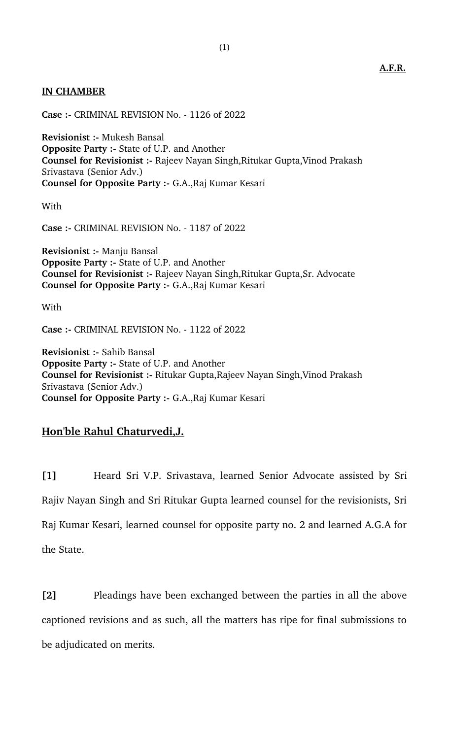## **IN CHAMBER**

**Case :** CRIMINAL REVISION No. 1126 of 2022

**Revisionist :** Mukesh Bansal **Opposite Party :- State of U.P. and Another Counsel for Revisionist :-** Rajeev Nayan Singh, Ritukar Gupta, Vinod Prakash Srivastava (Senior Adv.) **Counsel for Opposite Party :** G.A.,Raj Kumar Kesari

**With** 

**Case :** CRIMINAL REVISION No. 1187 of 2022

**Revisionist :- Manju Bansal Opposite Party :- State of U.P. and Another Counsel for Revisionist :-** Rajeev Nayan Singh, Ritukar Gupta, Sr. Advocate **Counsel for Opposite Party :- G.A., Raj Kumar Kesari** 

With

**Case :** CRIMINAL REVISION No. 1122 of 2022

**Revisionist :- Sahib Bansal Opposite Party :- State of U.P. and Another Counsel for Revisionist :- Ritukar Gupta, Rajeev Nayan Singh, Vinod Prakash** Srivastava (Senior Adv.) **Counsel for Opposite Party :** G.A.,Raj Kumar Kesari

## **Hon'ble Rahul Chaturvedi,J.**

**[1]** Heard Sri V.P. Srivastava, learned Senior Advocate assisted by Sri Rajiv Nayan Singh and Sri Ritukar Gupta learned counsel for the revisionists, Sri Raj Kumar Kesari, learned counsel for opposite party no. 2 and learned A.G.A for the State.

**[2]** Pleadings have been exchanged between the parties in all the above captioned revisions and as such, all the matters has ripe for final submissions to be adjudicated on merits.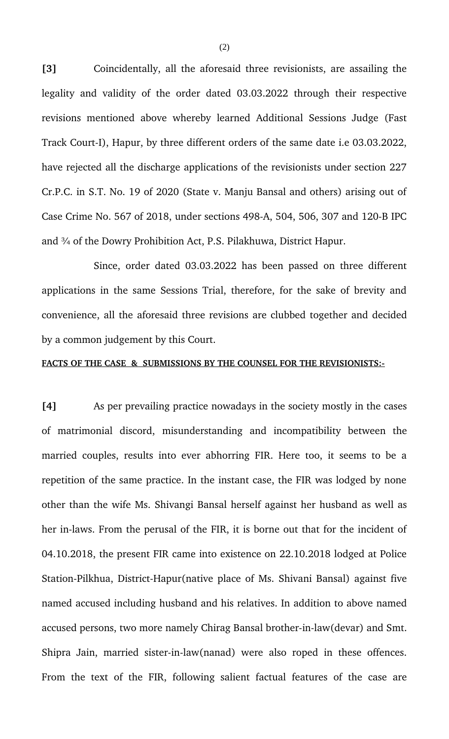**[3]** Coincidentally, all the aforesaid three revisionists, are assailing the legality and validity of the order dated 03.03.2022 through their respective revisions mentioned above whereby learned Additional Sessions Judge (Fast Track Court-I), Hapur, by three different orders of the same date i.e 03.03.2022, have rejected all the discharge applications of the revisionists under section 227 Cr.P.C. in S.T. No. 19 of 2020 (State v. Manju Bansal and others) arising out of Case Crime No. 567 of 2018, under sections 498-A, 504, 506, 307 and 120-B IPC and ¾ of the Dowry Prohibition Act, P.S. Pilakhuwa, District Hapur.

Since, order dated 03.03.2022 has been passed on three different applications in the same Sessions Trial, therefore, for the sake of brevity and convenience, all the aforesaid three revisions are clubbed together and decided by a common judgement by this Court.

## **FACTS OF THE CASE & SUBMISSIONS BY THE COUNSEL FOR THE REVISIONISTS:**

**[4]** As per prevailing practice nowadays in the society mostly in the cases of matrimonial discord, misunderstanding and incompatibility between the married couples, results into ever abhorring FIR. Here too, it seems to be a repetition of the same practice. In the instant case, the FIR was lodged by none other than the wife Ms. Shivangi Bansal herself against her husband as well as her in-laws. From the perusal of the FIR, it is borne out that for the incident of 04.10.2018, the present FIR came into existence on 22.10.2018 lodged at Police Station-Pilkhua, District-Hapur(native place of Ms. Shivani Bansal) against five named accused including husband and his relatives. In addition to above named accused persons, two more namely Chirag Bansal brother-in-law(devar) and Smt. Shipra Jain, married sister-in-law(nanad) were also roped in these offences. From the text of the FIR, following salient factual features of the case are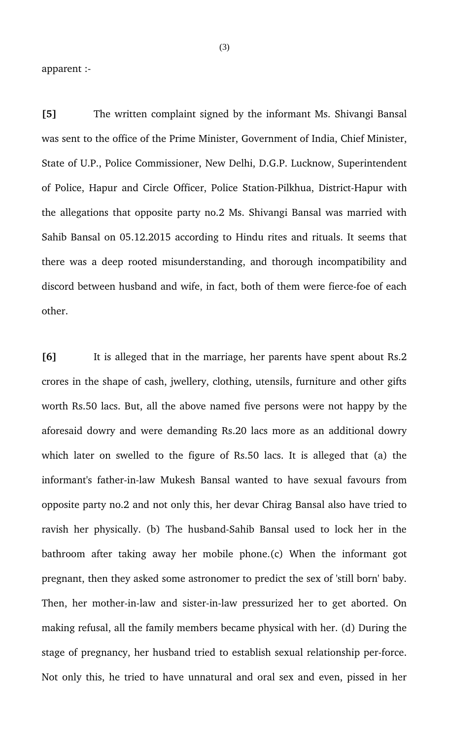apparent :

**[5]** The written complaint signed by the informant Ms. Shivangi Bansal was sent to the office of the Prime Minister, Government of India, Chief Minister, State of U.P., Police Commissioner, New Delhi, D.G.P. Lucknow, Superintendent of Police, Hapur and Circle Officer, Police Station-Pilkhua, District-Hapur with the allegations that opposite party no.2 Ms. Shivangi Bansal was married with Sahib Bansal on 05.12.2015 according to Hindu rites and rituals. It seems that there was a deep rooted misunderstanding, and thorough incompatibility and discord between husband and wife, in fact, both of them were fierce-foe of each other.

**[6]** It is alleged that in the marriage, her parents have spent about Rs.2 crores in the shape of cash, jwellery, clothing, utensils, furniture and other gifts worth Rs.50 lacs. But, all the above named five persons were not happy by the aforesaid dowry and were demanding Rs.20 lacs more as an additional dowry which later on swelled to the figure of Rs.50 lacs. It is alleged that (a) the informant's father-in-law Mukesh Bansal wanted to have sexual favours from opposite party no.2 and not only this, her devar Chirag Bansal also have tried to ravish her physically. (b) The husband-Sahib Bansal used to lock her in the bathroom after taking away her mobile phone. (c) When the informant got pregnant, then they asked some astronomer to predict the sex of 'still born' baby. Then, her mother-in-law and sister-in-law pressurized her to get aborted. On making refusal, all the family members became physical with her. (d) During the stage of pregnancy, her husband tried to establish sexual relationship per-force. Not only this, he tried to have unnatural and oral sex and even, pissed in her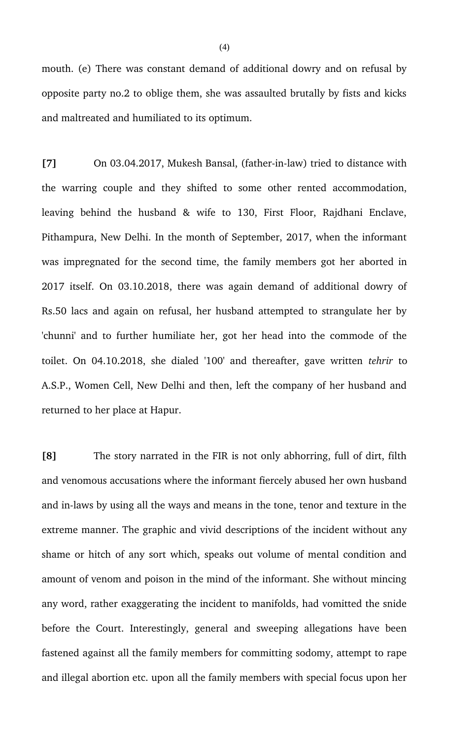mouth. (e) There was constant demand of additional dowry and on refusal by opposite party no.2 to oblige them, she was assaulted brutally by fists and kicks and maltreated and humiliated to its optimum.

[7] On 03.04.2017, Mukesh Bansal, (father-in-law) tried to distance with the warring couple and they shifted to some other rented accommodation, leaving behind the husband & wife to 130, First Floor, Rajdhani Enclave, Pithampura, New Delhi. In the month of September, 2017, when the informant was impregnated for the second time, the family members got her aborted in 2017 itself. On 03.10.2018, there was again demand of additional dowry of Rs.50 lacs and again on refusal, her husband attempted to strangulate her by 'chunni' and to further humiliate her, got her head into the commode of the toilet. On 04.10.2018, she dialed '100' and thereafter, gave written *tehrir* to A.S.P., Women Cell, New Delhi and then, left the company of her husband and returned to her place at Hapur.

**[8]** The story narrated in the FIR is not only abhorring, full of dirt, filth and venomous accusations where the informant fiercely abused her own husband and in-laws by using all the ways and means in the tone, tenor and texture in the extreme manner. The graphic and vivid descriptions of the incident without any shame or hitch of any sort which, speaks out volume of mental condition and amount of venom and poison in the mind of the informant. She without mincing any word, rather exaggerating the incident to manifolds, had vomitted the snide before the Court. Interestingly, general and sweeping allegations have been fastened against all the family members for committing sodomy, attempt to rape and illegal abortion etc. upon all the family members with special focus upon her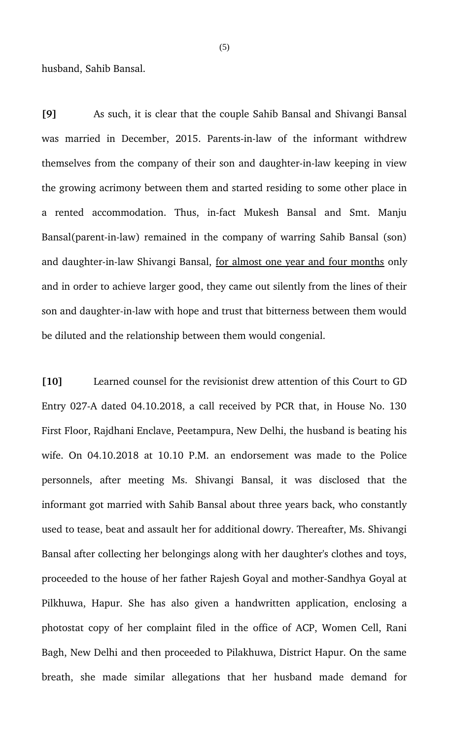husband, Sahib Bansal.

**[9]** As such, it is clear that the couple Sahib Bansal and Shivangi Bansal was married in December, 2015. Parents-in-law of the informant withdrew themselves from the company of their son and daughter-in-law keeping in view the growing acrimony between them and started residing to some other place in a rented accommodation. Thus, in-fact Mukesh Bansal and Smt. Manju Bansal(parent-in-law) remained in the company of warring Sahib Bansal (son) and daughter-in-law Shivangi Bansal, for almost one year and four months only and in order to achieve larger good, they came out silently from the lines of their son and daughter-in-law with hope and trust that bitterness between them would be diluted and the relationship between them would congenial.

**[10]** Learned counsel for the revisionist drew attention of this Court to GD Entry 027-A dated 04.10.2018, a call received by PCR that, in House No. 130 First Floor, Rajdhani Enclave, Peetampura, New Delhi, the husband is beating his wife. On 04.10.2018 at 10.10 P.M. an endorsement was made to the Police personnels, after meeting Ms. Shivangi Bansal, it was disclosed that the informant got married with Sahib Bansal about three years back, who constantly used to tease, beat and assault her for additional dowry. Thereafter, Ms. Shivangi Bansal after collecting her belongings along with her daughter's clothes and toys, proceeded to the house of her father Rajesh Goyal and mother-Sandhya Goyal at Pilkhuwa, Hapur. She has also given a handwritten application, enclosing a photostat copy of her complaint filed in the office of ACP, Women Cell, Rani Bagh, New Delhi and then proceeded to Pilakhuwa, District Hapur. On the same breath, she made similar allegations that her husband made demand for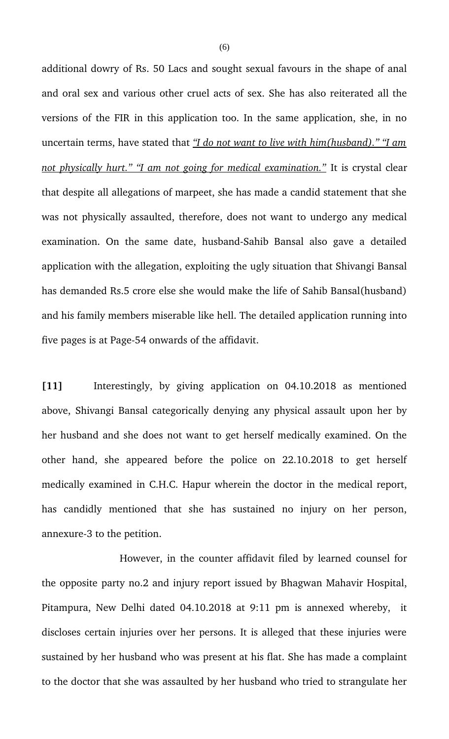additional dowry of Rs. 50 Lacs and sought sexual favours in the shape of anal and oral sex and various other cruel acts of sex. She has also reiterated all the versions of the FIR in this application too. In the same application, she, in no uncertain terms, have stated that *"I do not want to live with him(husband)." "I am not physically hurt." "I am not going for medical examination."* It is crystal clear that despite all allegations of marpeet, she has made a candid statement that she was not physically assaulted, therefore, does not want to undergo any medical examination. On the same date, husband-Sahib Bansal also gave a detailed application with the allegation, exploiting the ugly situation that Shivangi Bansal has demanded Rs.5 crore else she would make the life of Sahib Bansal(husband) and his family members miserable like hell. The detailed application running into five pages is at Page-54 onwards of the affidavit.

[11] Interestingly, by giving application on 04.10.2018 as mentioned above, Shivangi Bansal categorically denying any physical assault upon her by her husband and she does not want to get herself medically examined. On the other hand, she appeared before the police on 22.10.2018 to get herself medically examined in C.H.C. Hapur wherein the doctor in the medical report, has candidly mentioned that she has sustained no injury on her person, annexure-3 to the petition.

However, in the counter affidavit filed by learned counsel for the opposite party no.2 and injury report issued by Bhagwan Mahavir Hospital, Pitampura, New Delhi dated 04.10.2018 at 9:11 pm is annexed whereby, it discloses certain injuries over her persons. It is alleged that these injuries were sustained by her husband who was present at his flat. She has made a complaint to the doctor that she was assaulted by her husband who tried to strangulate her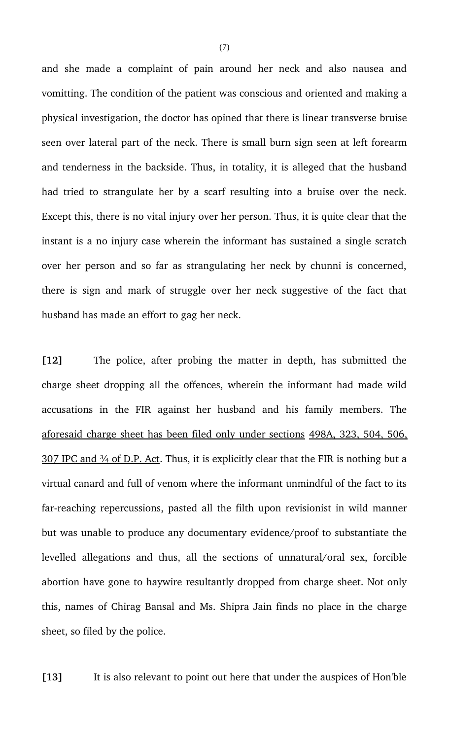and she made a complaint of pain around her neck and also nausea and vomitting. The condition of the patient was conscious and oriented and making a physical investigation, the doctor has opined that there is linear transverse bruise seen over lateral part of the neck. There is small burn sign seen at left forearm and tenderness in the backside. Thus, in totality, it is alleged that the husband had tried to strangulate her by a scarf resulting into a bruise over the neck. Except this, there is no vital injury over her person. Thus, it is quite clear that the instant is a no injury case wherein the informant has sustained a single scratch over her person and so far as strangulating her neck by chunni is concerned, there is sign and mark of struggle over her neck suggestive of the fact that husband has made an effort to gag her neck.

**[12]** The police, after probing the matter in depth, has submitted the charge sheet dropping all the offences, wherein the informant had made wild accusations in the FIR against her husband and his family members. The aforesaid charge sheet has been filed only under sections 498A, 323, 504, 506,  $307$  IPC and  $\frac{3}{4}$  of D.P. Act. Thus, it is explicitly clear that the FIR is nothing but a virtual canard and full of venom where the informant unmindful of the fact to its far-reaching repercussions, pasted all the filth upon revisionist in wild manner but was unable to produce any documentary evidence/proof to substantiate the levelled allegations and thus, all the sections of unnatural/oral sex, forcible abortion have gone to haywire resultantly dropped from charge sheet. Not only this, names of Chirag Bansal and Ms. Shipra Jain finds no place in the charge sheet, so filed by the police.

**[13]** It is also relevant to point out here that under the auspices of Hon'ble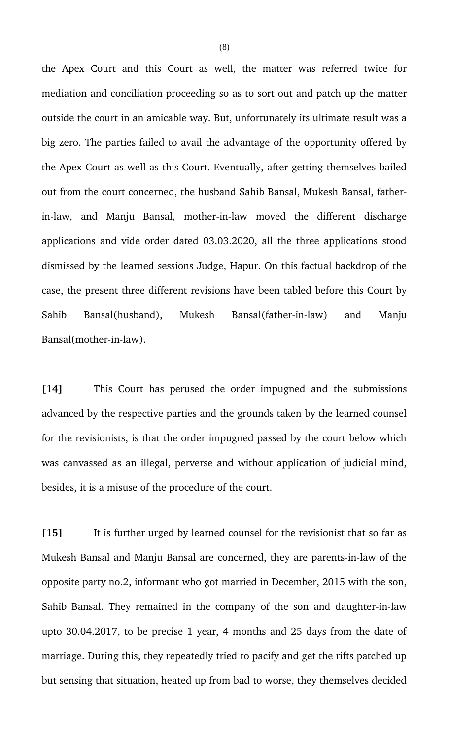the Apex Court and this Court as well, the matter was referred twice for mediation and conciliation proceeding so as to sort out and patch up the matter outside the court in an amicable way. But, unfortunately its ultimate result was a big zero. The parties failed to avail the advantage of the opportunity offered by the Apex Court as well as this Court. Eventually, after getting themselves bailed out from the court concerned, the husband Sahib Bansal, Mukesh Bansal, fatherin-law, and Manju Bansal, mother-in-law moved the different discharge applications and vide order dated 03.03.2020, all the three applications stood dismissed by the learned sessions Judge, Hapur. On this factual backdrop of the case, the present three different revisions have been tabled before this Court by Sahib Bansal(husband), Mukesh Bansal(father-in-law) and Manju Bansal(mother-in-law).

**[14]** This Court has perused the order impugned and the submissions advanced by the respective parties and the grounds taken by the learned counsel for the revisionists, is that the order impugned passed by the court below which was canvassed as an illegal, perverse and without application of judicial mind, besides, it is a misuse of the procedure of the court.

**[15]** It is further urged by learned counsel for the revisionist that so far as Mukesh Bansal and Manju Bansal are concerned, they are parents-in-law of the opposite party no.2, informant who got married in December, 2015 with the son, Sahib Bansal. They remained in the company of the son and daughter-in-law upto 30.04.2017, to be precise 1 year, 4 months and 25 days from the date of marriage. During this, they repeatedly tried to pacify and get the rifts patched up but sensing that situation, heated up from bad to worse, they themselves decided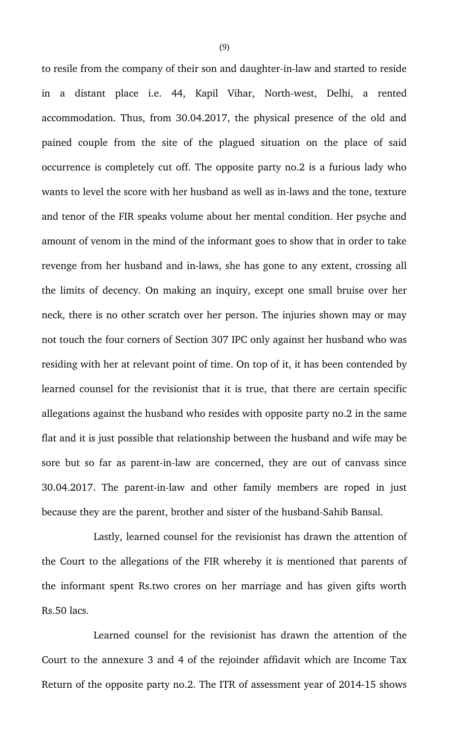to resile from the company of their son and daughter-in-law and started to reside in a distant place i.e. 44, Kapil Vihar, North-west, Delhi, a rented accommodation. Thus, from 30.04.2017, the physical presence of the old and pained couple from the site of the plagued situation on the place of said occurrence is completely cut off. The opposite party no.2 is a furious lady who wants to level the score with her husband as well as in-laws and the tone, texture and tenor of the FIR speaks volume about her mental condition. Her psyche and amount of venom in the mind of the informant goes to show that in order to take revenge from her husband and in-laws, she has gone to any extent, crossing all the limits of decency. On making an inquiry, except one small bruise over her neck, there is no other scratch over her person. The injuries shown may or may not touch the four corners of Section 307 IPC only against her husband who was residing with her at relevant point of time. On top of it, it has been contended by learned counsel for the revisionist that it is true, that there are certain specific allegations against the husband who resides with opposite party no.2 in the same flat and it is just possible that relationship between the husband and wife may be sore but so far as parent-in-law are concerned, they are out of canvass since 30.04.2017. The parent-in-law and other family members are roped in just because they are the parent, brother and sister of the husband-Sahib Bansal.

Lastly, learned counsel for the revisionist has drawn the attention of the Court to the allegations of the FIR whereby it is mentioned that parents of the informant spent Rs.two crores on her marriage and has given gifts worth Rs.50 lacs.

Learned counsel for the revisionist has drawn the attention of the Court to the annexure 3 and 4 of the rejoinder affidavit which are Income Tax Return of the opposite party no.2. The ITR of assessment year of 2014-15 shows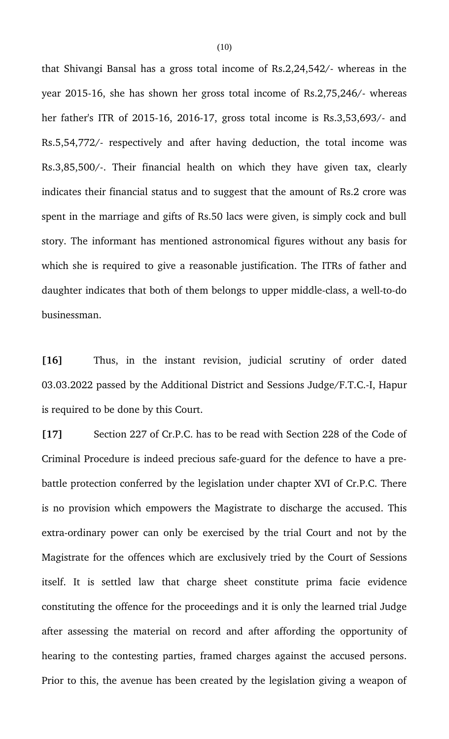that Shivangi Bansal has a gross total income of Rs.2,24,542/ whereas in the year 2015-16, she has shown her gross total income of Rs.2,75,246/- whereas her father's ITR of 2015-16, 2016-17, gross total income is  $Rs.3,53,693/$ - and Rs.5,54,772/ respectively and after having deduction, the total income was Rs.3,85,500/-. Their financial health on which they have given tax, clearly indicates their financial status and to suggest that the amount of Rs.2 crore was spent in the marriage and gifts of Rs.50 lacs were given, is simply cock and bull story. The informant has mentioned astronomical figures without any basis for which she is required to give a reasonable justification. The ITRs of father and daughter indicates that both of them belongs to upper middle-class, a well-to-do businessman.

[16] Thus, in the instant revision, judicial scrutiny of order dated 03.03.2022 passed by the Additional District and Sessions Judge/F.T.C.-I, Hapur is required to be done by this Court.

**[17]** Section 227 of Cr.P.C. has to be read with Section 228 of the Code of Criminal Procedure is indeed precious safe-guard for the defence to have a prebattle protection conferred by the legislation under chapter XVI of Cr.P.C. There is no provision which empowers the Magistrate to discharge the accused. This extra-ordinary power can only be exercised by the trial Court and not by the Magistrate for the offences which are exclusively tried by the Court of Sessions itself. It is settled law that charge sheet constitute prima facie evidence constituting the offence for the proceedings and it is only the learned trial Judge after assessing the material on record and after affording the opportunity of hearing to the contesting parties, framed charges against the accused persons. Prior to this, the avenue has been created by the legislation giving a weapon of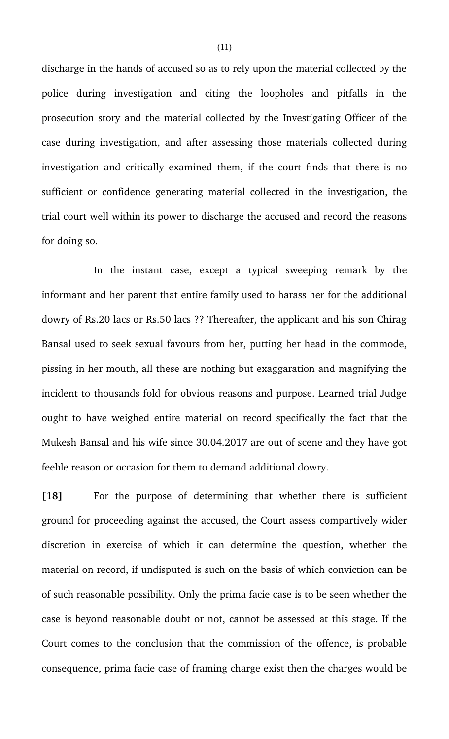discharge in the hands of accused so as to rely upon the material collected by the police during investigation and citing the loopholes and pitfalls in the prosecution story and the material collected by the Investigating Officer of the case during investigation, and after assessing those materials collected during investigation and critically examined them, if the court finds that there is no sufficient or confidence generating material collected in the investigation, the trial court well within its power to discharge the accused and record the reasons for doing so.

In the instant case, except a typical sweeping remark by the informant and her parent that entire family used to harass her for the additional dowry of Rs.20 lacs or Rs.50 lacs ?? Thereafter, the applicant and his son Chirag Bansal used to seek sexual favours from her, putting her head in the commode, pissing in her mouth, all these are nothing but exaggaration and magnifying the incident to thousands fold for obvious reasons and purpose. Learned trial Judge ought to have weighed entire material on record specifically the fact that the Mukesh Bansal and his wife since 30.04.2017 are out of scene and they have got feeble reason or occasion for them to demand additional dowry.

[18] For the purpose of determining that whether there is sufficient ground for proceeding against the accused, the Court assess compartively wider discretion in exercise of which it can determine the question, whether the material on record, if undisputed is such on the basis of which conviction can be of such reasonable possibility. Only the prima facie case is to be seen whether the case is beyond reasonable doubt or not, cannot be assessed at this stage. If the Court comes to the conclusion that the commission of the offence, is probable consequence, prima facie case of framing charge exist then the charges would be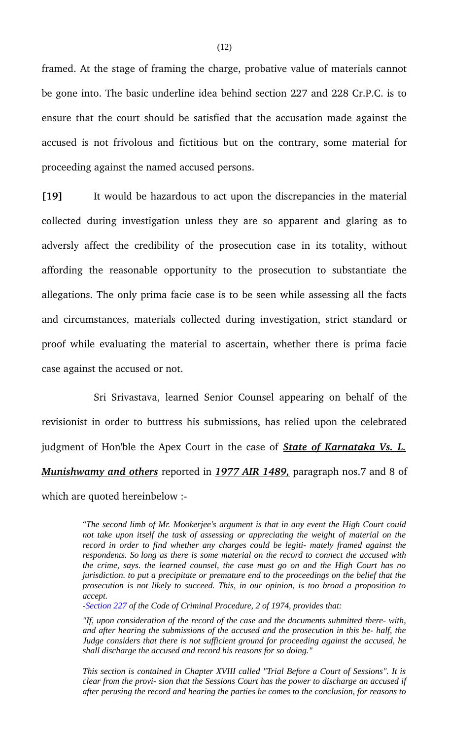framed. At the stage of framing the charge, probative value of materials cannot be gone into. The basic underline idea behind section 227 and 228 Cr.P.C. is to ensure that the court should be satisfied that the accusation made against the accused is not frivolous and fictitious but on the contrary, some material for proceeding against the named accused persons.

**[19]** It would be hazardous to act upon the discrepancies in the material collected during investigation unless they are so apparent and glaring as to adversly affect the credibility of the prosecution case in its totality, without affording the reasonable opportunity to the prosecution to substantiate the allegations. The only prima facie case is to be seen while assessing all the facts and circumstances, materials collected during investigation, strict standard or proof while evaluating the material to ascertain, whether there is prima facie case against the accused or not.

Sri Srivastava, learned Senior Counsel appearing on behalf of the revisionist in order to buttress his submissions, has relied upon the celebrated judgment of Hon'ble the Apex Court in the case of *State of Karnataka Vs. L. Munishwamy and others* reported in *1977 AIR 1489,* paragraph nos.7 and 8 of which are quoted hereinbelow :

> *"The second limb of Mr. Mookerjee's argument is that in any event the High Court could not take upon itself the task of assessing or appreciating the weight of material on the record in order to find whether any charges could be legiti- mately framed against the respondents. So long as there is some material on the record to connect the accused with the crime, says. the learned counsel, the case must go on and the High Court has no jurisdiction. to put a precipitate or premature end to the proceedings on the belief that the prosecution is not likely to succeed. This, in our opinion, is too broad a proposition to accept.*

*-Section 227 of the Code of Criminal Procedure, 2 of 1974, provides that:*

*"If, upon consideration of the record of the case and the documents submitted there- with, and after hearing the submissions of the accused and the prosecution in this be- half, the Judge considers that there is not sufficient ground for proceeding against the accused, he shall discharge the accused and record his reasons for so doing."*

*This section is contained in Chapter XVIII called "Trial Before a Court of Sessions". It is clear from the provi- sion that the Sessions Court has the power to discharge an accused if after perusing the record and hearing the parties he comes to the conclusion, for reasons to*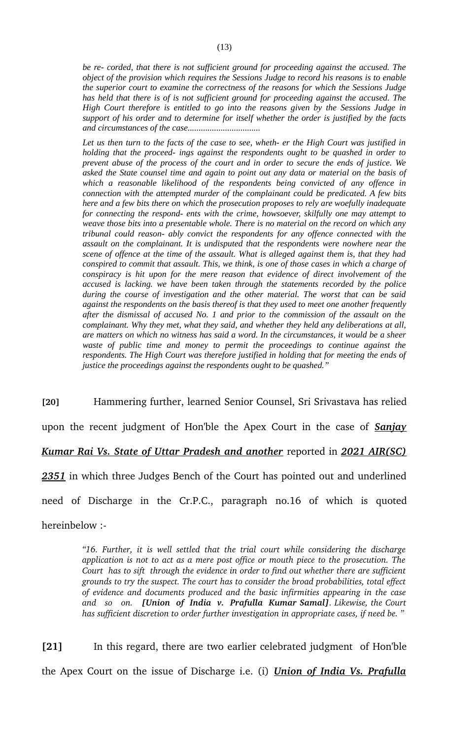*be re- corded, that there is not sufficient ground for proceeding against the accused. The object of the provision which requires the Sessions Judge to record his reasons is to enable the superior court to examine the correctness of the reasons for which the Sessions Judge has held that there is of is not sufficient ground for proceeding against the accused. The High Court therefore is entitled to go into the reasons given by the Sessions Judge in support of his order and to determine for itself whether the order is justified by the facts and circumstances of the case.................................*

*Let us then turn to the facts of the case to see, wheth- er the High Court was justified in holding that the proceed- ings against the respondents ought to be quashed in order to prevent abuse of the process of the court and in order to secure the ends of justice. We asked the State counsel time and again to point out any data or material on the basis of which a reasonable likelihood of the respondents being convicted of any offence in connection with the attempted murder of the complainant could be predicated. A few bits here and a few bits there on which the prosecution proposes to rely are woefully inadequate for connecting the respond- ents with the crime, howsoever, skilfully one may attempt to weave those bits into a presentable whole. There is no material on the record on which any tribunal could reason- ably convict the respondents for any offence connected with the assault on the complainant. It is undisputed that the respondents were nowhere near the scene of offence at the time of the assault. What is alleged against them is, that they had conspired to commit that assault. This, we think, is one of those cases in which a charge of conspiracy is hit upon for the mere reason that evidence of direct involvement of the accused is lacking. we have been taken through the statements recorded by the police during the course of investigation and the other material. The worst that can be said against the respondents on the basis thereof is that they used to meet one another frequently after the dismissal of accused No. 1 and prior to the commission of the assault on the complainant. Why they met, what they said, and whether they held any deliberations at all, are matters on which no witness has said a word. In the circumstances, it would be a sheer waste of public time and money to permit the proceedings to continue against the respondents. The High Court was therefore justified in holding that for meeting the ends of justice the proceedings against the respondents ought to be quashed."*

**[20]** Hammering further, learned Senior Counsel, Sri Srivastava has relied

upon the recent judgment of Hon'ble the Apex Court in the case of *Sanjay*

*Kumar Rai Vs. State of Uttar Pradesh and another* reported in *2021 AIR(SC)*

*2351* in which three Judges Bench of the Court has pointed out and underlined

need of Discharge in the Cr.P.C., paragraph no.16 of which is quoted

hereinbelow :

*"16. Further, it is well settled that the trial court while considering the discharge application is not to act as a mere post office or mouth piece to the prosecution. The Court has to sift through the evidence in order to find out whether there are sufficient grounds to try the suspect. The court has to consider the broad probabilities, total effect of evidence and documents produced and the basic infirmities appearing in the case and so on. [Union of India v. Prafulla Kumar Samal]. Likewise, the Court has sufficient discretion to order further investigation in appropriate cases, if need be. "*

**[21]** In this regard, there are two earlier celebrated judgment of Hon'ble the Apex Court on the issue of Discharge i.e. (i) *Union of India Vs. Prafulla*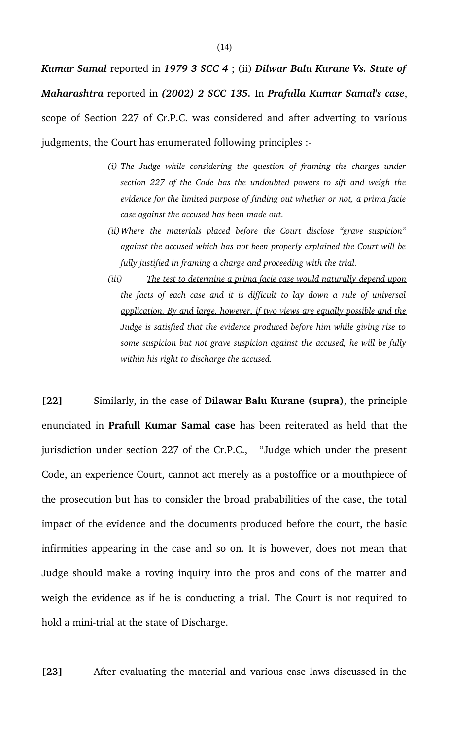*Kumar Samal* reported in *1979 3 SCC 4* ; (ii) *Dilwar Balu Kurane Vs. State of Maharashtra* reported in *(2002) 2 SCC 135.* In *Prafulla Kumar Samal's case*, scope of Section 227 of Cr.P.C. was considered and after adverting to various judgments, the Court has enumerated following principles :

- *(i) The Judge while considering the question of framing the charges under section 227 of the Code has the undoubted powers to sift and weigh the evidence for the limited purpose of finding out whether or not, a prima facie case against the accused has been made out.*
- *(ii)Where the materials placed before the Court disclose "grave suspicion" against the accused which has not been properly explained the Court will be fully justified in framing a charge and proceeding with the trial.*
- *(iii) The test to determine a prima facie case would naturally depend upon the facts of each case and it is difficult to lay down a rule of universal application. By and large, however, if two views are equally possible and the Judge is satisfied that the evidence produced before him while giving rise to some suspicion but not grave suspicion against the accused, he will be fully within his right to discharge the accused.*

**[22]** Similarly, in the case of **Dilawar Balu Kurane (supra)**, the principle enunciated in **Prafull Kumar Samal case** has been reiterated as held that the jurisdiction under section 227 of the Cr.P.C., "Judge which under the present Code, an experience Court, cannot act merely as a postoffice or a mouthpiece of the prosecution but has to consider the broad prababilities of the case, the total impact of the evidence and the documents produced before the court, the basic infirmities appearing in the case and so on. It is however, does not mean that Judge should make a roving inquiry into the pros and cons of the matter and weigh the evidence as if he is conducting a trial. The Court is not required to hold a mini-trial at the state of Discharge.

**[23]** After evaluating the material and various case laws discussed in the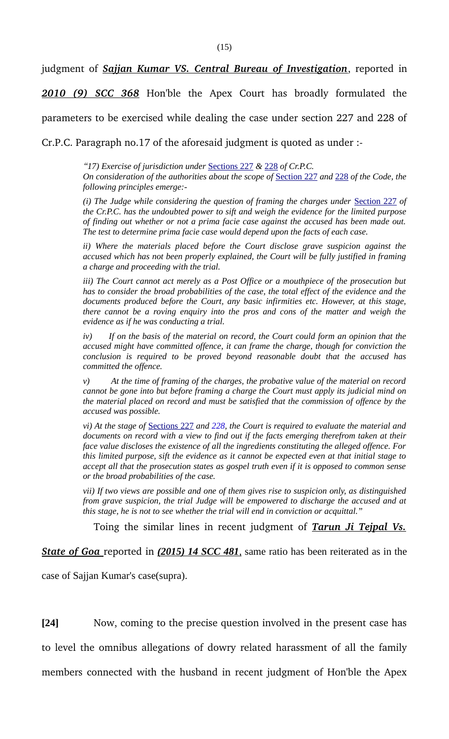judgment of *Sajjan Kumar VS. Central Bureau of Investigation*, reported in

2010 (9) SCC 368 Hon'ble the Apex Court has broadly formulated the

parameters to be exercised while dealing the case under section 227 and 228 of

Cr.P.C. Paragraph no.17 of the aforesaid judgment is quoted as under :

*"17) Exercise of jurisdiction under* Sections 227 *&* 228 *of Cr.P.C.*

*On consideration of the authorities about the scope of* Section 227 *and* 228 *of the Code, the following principles emerge:-*

*(i) The Judge while considering the question of framing the charges under* Section 227 *of the Cr.P.C. has the undoubted power to sift and weigh the evidence for the limited purpose of finding out whether or not a prima facie case against the accused has been made out. The test to determine prima facie case would depend upon the facts of each case.*

*ii) Where the materials placed before the Court disclose grave suspicion against the accused which has not been properly explained, the Court will be fully justified in framing a charge and proceeding with the trial.*

*iii) The Court cannot act merely as a Post Office or a mouthpiece of the prosecution but has to consider the broad probabilities of the case, the total effect of the evidence and the documents produced before the Court, any basic infirmities etc. However, at this stage, there cannot be a roving enquiry into the pros and cons of the matter and weigh the evidence as if he was conducting a trial.*

*iv) If on the basis of the material on record, the Court could form an opinion that the accused might have committed offence, it can frame the charge, though for conviction the conclusion is required to be proved beyond reasonable doubt that the accused has committed the offence.*

*v) At the time of framing of the charges, the probative value of the material on record cannot be gone into but before framing a charge the Court must apply its judicial mind on the material placed on record and must be satisfied that the commission of offence by the accused was possible.*

*vi) At the stage of* Sections 227 *and 228, the Court is required to evaluate the material and documents on record with a view to find out if the facts emerging therefrom taken at their face value discloses the existence of all the ingredients constituting the alleged offence. For this limited purpose, sift the evidence as it cannot be expected even at that initial stage to accept all that the prosecution states as gospel truth even if it is opposed to common sense or the broad probabilities of the case.*

*vii) If two views are possible and one of them gives rise to suspicion only, as distinguished from grave suspicion, the trial Judge will be empowered to discharge the accused and at this stage, he is not to see whether the trial will end in conviction or acquittal."*

Toing the similar lines in recent judgment of *Tarun Ji Tejpal Vs.*

*State of Goa* reported in (2015) 14 SCC 481, same ratio has been reiterated as in the

case of Sajjan Kumar's case(supra).

**[24]** Now, coming to the precise question involved in the present case has to level the omnibus allegations of dowry related harassment of all the family members connected with the husband in recent judgment of Hon'ble the Apex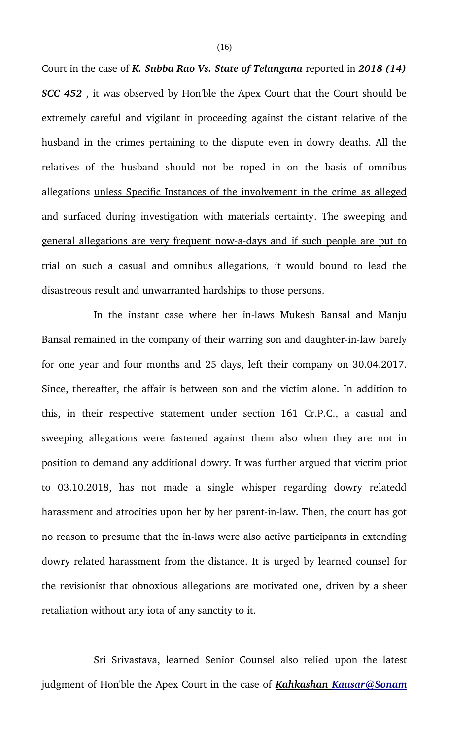Court in the case of *K. Subba Rao Vs. State of Telangana* reported in *2018 (14) SCC 452* , it was observed by Hon'ble the Apex Court that the Court should be extremely careful and vigilant in proceeding against the distant relative of the husband in the crimes pertaining to the dispute even in dowry deaths. All the relatives of the husband should not be roped in on the basis of omnibus allegations unless Specific Instances of the involvement in the crime as alleged and surfaced during investigation with materials certainty. The sweeping and general allegations are very frequent now-a-days and if such people are put to trial on such a casual and omnibus allegations, it would bound to lead the disastreous result and unwarranted hardships to those persons.

In the instant case where her in-laws Mukesh Bansal and Manju Bansal remained in the company of their warring son and daughter-in-law barely for one year and four months and 25 days, left their company on 30.04.2017. Since, thereafter, the affair is between son and the victim alone. In addition to this, in their respective statement under section 161 Cr.P.C., a casual and sweeping allegations were fastened against them also when they are not in position to demand any additional dowry. It was further argued that victim priot to 03.10.2018, has not made a single whisper regarding dowry relatedd harassment and atrocities upon her by her parent-in-law. Then, the court has got no reason to presume that the in-laws were also active participants in extending dowry related harassment from the distance. It is urged by learned counsel for the revisionist that obnoxious allegations are motivated one, driven by a sheer retaliation without any iota of any sanctity to it.

Sri Srivastava, learned Senior Counsel also relied upon the latest judgment of Hon'ble the Apex Court in the case of *Kahkashan Kausar@Sonam*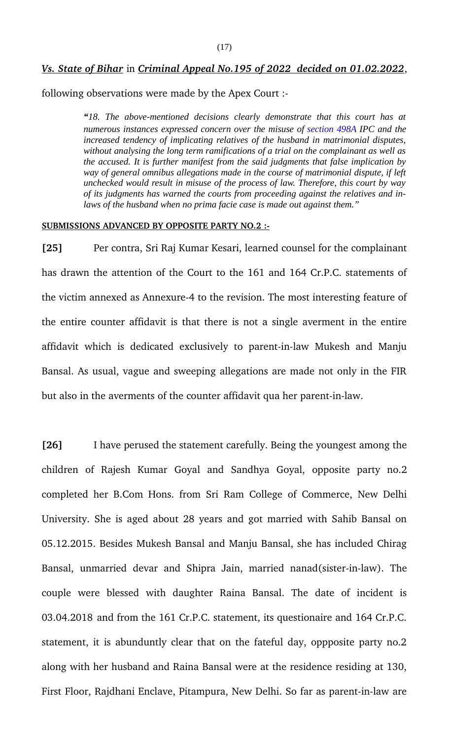## *Vs. State of Bihar* in *Criminal Appeal No.195 of 2022 decided on 01.02.2022*,

following observations were made by the Apex Court :

*"18. The above-mentioned decisions clearly demonstrate that this court has at numerous instances expressed concern over the misuse of section 498A IPC and the increased tendency of implicating relatives of the husband in matrimonial disputes, without analysing the long term ramifications of a trial on the complainant as well as the accused. It is further manifest from the said judgments that false implication by way of general omnibus allegations made in the course of matrimonial dispute, if left unchecked would result in misuse of the process of law. Therefore, this court by way of its judgments has warned the courts from proceeding against the relatives and inlaws of the husband when no prima facie case is made out against them."*

#### **SUBMISSIONS ADVANCED BY OPPOSITE PARTY NO.2 :**

**[25]** Per contra, Sri Raj Kumar Kesari, learned counsel for the complainant has drawn the attention of the Court to the 161 and 164 Cr.P.C. statements of the victim annexed as Annexure-4 to the revision. The most interesting feature of the entire counter affidavit is that there is not a single averment in the entire affidavit which is dedicated exclusively to parent-in-law Mukesh and Manju Bansal. As usual, vague and sweeping allegations are made not only in the FIR but also in the averments of the counter affidavit qua her parent-in-law.

**[26]** I have perused the statement carefully. Being the youngest among the children of Rajesh Kumar Goyal and Sandhya Goyal, opposite party no.2 completed her B.Com Hons. from Sri Ram College of Commerce, New Delhi University. She is aged about 28 years and got married with Sahib Bansal on 05.12.2015. Besides Mukesh Bansal and Manju Bansal, she has included Chirag Bansal, unmarried devar and Shipra Jain, married nanad(sister-in-law). The couple were blessed with daughter Raina Bansal. The date of incident is 03.04.2018 and from the 161 Cr.P.C. statement, its questionaire and 164 Cr.P.C. statement, it is abunduntly clear that on the fateful day, oppposite party no.2 along with her husband and Raina Bansal were at the residence residing at 130, First Floor, Rajdhani Enclave, Pitampura, New Delhi. So far as parent-in-law are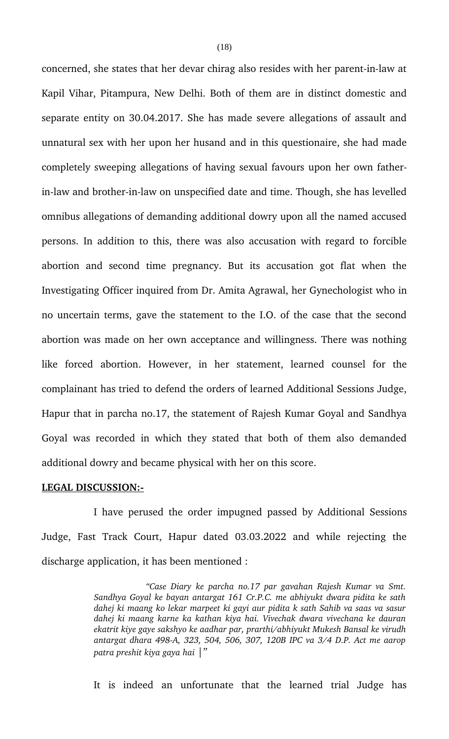concerned, she states that her devar chirag also resides with her parent-in-law at Kapil Vihar, Pitampura, New Delhi. Both of them are in distinct domestic and separate entity on 30.04.2017. She has made severe allegations of assault and unnatural sex with her upon her husand and in this questionaire, she had made completely sweeping allegations of having sexual favours upon her own fatherin-law and brother-in-law on unspecified date and time. Though, she has levelled omnibus allegations of demanding additional dowry upon all the named accused persons. In addition to this, there was also accusation with regard to forcible abortion and second time pregnancy. But its accusation got flat when the Investigating Officer inquired from Dr. Amita Agrawal, her Gynechologist who in no uncertain terms, gave the statement to the I.O. of the case that the second abortion was made on her own acceptance and willingness. There was nothing like forced abortion. However, in her statement, learned counsel for the complainant has tried to defend the orders of learned Additional Sessions Judge, Hapur that in parcha no.17, the statement of Rajesh Kumar Goyal and Sandhya Goyal was recorded in which they stated that both of them also demanded additional dowry and became physical with her on this score.

#### **LEGAL DISCUSSION:**

I have perused the order impugned passed by Additional Sessions Judge, Fast Track Court, Hapur dated 03.03.2022 and while rejecting the discharge application, it has been mentioned :

> *"Case Diary ke parcha no.17 par gavahan Rajesh Kumar va Smt. Sandhya Goyal ke bayan antargat 161 Cr.P.C. me abhiyukt dwara pidita ke sath dahej ki maang ko lekar marpeet ki gayi aur pidita k sath Sahib va saas va sasur dahej ki maang karne ka kathan kiya hai. Vivechak dwara vivechana ke dauran ekatrit kiye gaye sakshyo ke aadhar par, prarthi/abhiyukt Mukesh Bansal ke virudh antargat dhara 498A, 323, 504, 506, 307, 120B IPC va 3/4 D.P. Act me aarop patra preshit kiya gaya hai |"*

> It is indeed an unfortunate that the learned trial Judge has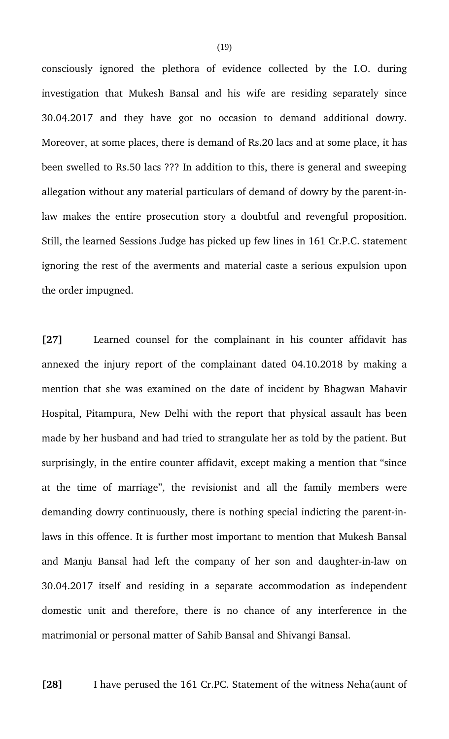consciously ignored the plethora of evidence collected by the I.O. during investigation that Mukesh Bansal and his wife are residing separately since 30.04.2017 and they have got no occasion to demand additional dowry. Moreover, at some places, there is demand of Rs.20 lacs and at some place, it has been swelled to Rs.50 lacs ??? In addition to this, there is general and sweeping allegation without any material particulars of demand of dowry by the parent-inlaw makes the entire prosecution story a doubtful and revengful proposition. Still, the learned Sessions Judge has picked up few lines in 161 Cr.P.C. statement ignoring the rest of the averments and material caste a serious expulsion upon the order impugned.

[27] Learned counsel for the complainant in his counter affidavit has annexed the injury report of the complainant dated 04.10.2018 by making a mention that she was examined on the date of incident by Bhagwan Mahavir Hospital, Pitampura, New Delhi with the report that physical assault has been made by her husband and had tried to strangulate her as told by the patient. But surprisingly, in the entire counter affidavit, except making a mention that "since at the time of marriage", the revisionist and all the family members were demanding dowry continuously, there is nothing special indicting the parent-inlaws in this offence. It is further most important to mention that Mukesh Bansal and Manju Bansal had left the company of her son and daughter-in-law on 30.04.2017 itself and residing in a separate accommodation as independent domestic unit and therefore, there is no chance of any interference in the matrimonial or personal matter of Sahib Bansal and Shivangi Bansal.

**[28]** I have perused the 161 Cr.PC. Statement of the witness Neha(aunt of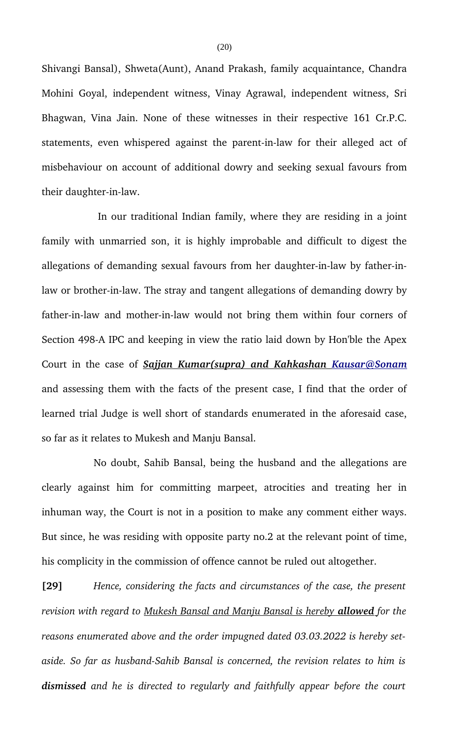Shivangi Bansal), Shweta(Aunt), Anand Prakash, family acquaintance, Chandra Mohini Goyal, independent witness, Vinay Agrawal, independent witness, Sri Bhagwan, Vina Jain. None of these witnesses in their respective 161 Cr.P.C. statements, even whispered against the parent-in-law for their alleged act of misbehaviour on account of additional dowry and seeking sexual favours from their daughter-in-law.

 In our traditional Indian family, where they are residing in a joint family with unmarried son, it is highly improbable and difficult to digest the allegations of demanding sexual favours from her daughter-in-law by father-inlaw or brother-in-law. The stray and tangent allegations of demanding dowry by father-in-law and mother-in-law would not bring them within four corners of Section 498-A IPC and keeping in view the ratio laid down by Hon'ble the Apex Court in the case of  *Sajjan Kumar(supra) and Kahkashan Kausar@Sonam* and assessing them with the facts of the present case, I find that the order of learned trial Judge is well short of standards enumerated in the aforesaid case, so far as it relates to Mukesh and Manju Bansal.

No doubt, Sahib Bansal, being the husband and the allegations are clearly against him for committing marpeet, atrocities and treating her in inhuman way, the Court is not in a position to make any comment either ways. But since, he was residing with opposite party no.2 at the relevant point of time, his complicity in the commission of offence cannot be ruled out altogether.

**[29]** *Hence, considering the facts and circumstances of the case, the present revision with regard to Mukesh Bansal and Manju Bansal is hereby allowedfor the reasons enumerated above and the order impugned dated 03.03.2022 is hereby set*aside. So far as husband-Sahib Bansal is concerned, the revision relates to him is *dismissed and he is directed to regularly and faithfully appear before the court*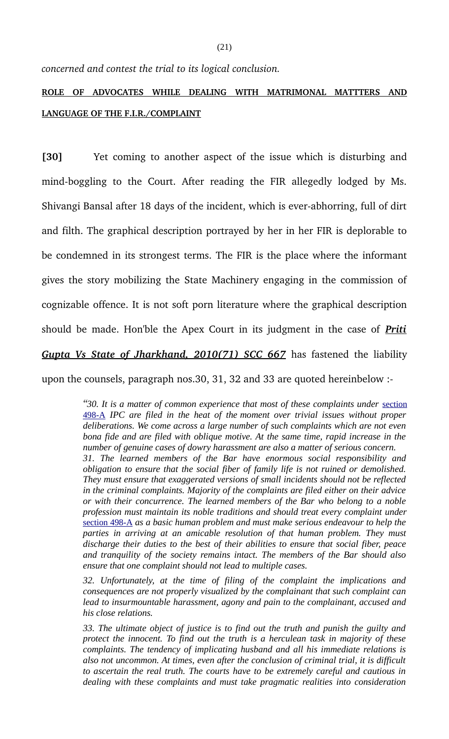*concerned and contest the trial to its logical conclusion.* 

# **ROLE OF ADVOCATES WHILE DEALING WITH MATRIMONAL MATTTERS AND LANGUAGE OF THE F.I.R./COMPLAINT**

**[30]** Yet coming to another aspect of the issue which is disturbing and mind-boggling to the Court. After reading the FIR allegedly lodged by Ms. Shivangi Bansal after 18 days of the incident, which is ever-abhorring, full of dirt and filth. The graphical description portrayed by her in her FIR is deplorable to be condemned in its strongest terms. The FIR is the place where the informant gives the story mobilizing the State Machinery engaging in the commission of cognizable offence. It is not soft porn literature where the graphical description should be made. Hon'ble the Apex Court in its judgment in the case of *Priti Gupta Vs State of Jharkhand, 2010(71) SCC 667* has fastened the liability

upon the counsels, paragraph nos.30, 31, 32 and 33 are quoted hereinbelow :

*"30. It is a matter of common experience that most of these complaints under* section 498-A *IPC are filed in the heat of the moment over trivial issues without proper deliberations. We come across a large number of such complaints which are not even bona fide and are filed with oblique motive. At the same time, rapid increase in the number of genuine cases of dowry harassment are also a matter of serious concern. 31. The learned members of the Bar have enormous social responsibility and obligation to ensure that the social fiber of family life is not ruined or demolished. They must ensure that exaggerated versions of small incidents should not be reflected in the criminal complaints. Majority of the complaints are filed either on their advice or with their concurrence. The learned members of the Bar who belong to a noble profession must maintain its noble traditions and should treat every complaint under* section 498-A *as a basic human problem and must make serious endeavour to help the parties in arriving at an amicable resolution of that human problem. They must discharge their duties to the best of their abilities to ensure that social fiber, peace and tranquility of the society remains intact. The members of the Bar should also ensure that one complaint should not lead to multiple cases.*

*32. Unfortunately, at the time of filing of the complaint the implications and consequences are not properly visualized by the complainant that such complaint can lead to insurmountable harassment, agony and pain to the complainant, accused and his close relations.*

*33. The ultimate object of justice is to find out the truth and punish the guilty and protect the innocent. To find out the truth is a herculean task in majority of these complaints. The tendency of implicating husband and all his immediate relations is also not uncommon. At times, even after the conclusion of criminal trial, it is difficult to ascertain the real truth. The courts have to be extremely careful and cautious in dealing with these complaints and must take pragmatic realities into consideration*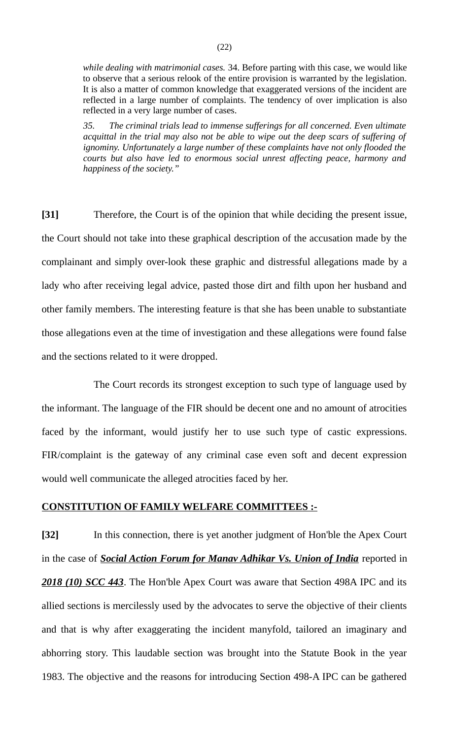*while dealing with matrimonial cases.* 34. Before parting with this case, we would like to observe that a serious relook of the entire provision is warranted by the legislation. It is also a matter of common knowledge that exaggerated versions of the incident are reflected in a large number of complaints. The tendency of over implication is also reflected in a very large number of cases.

*35. The criminal trials lead to immense sufferings for all concerned. Even ultimate acquittal in the trial may also not be able to wipe out the deep scars of suffering of ignominy. Unfortunately a large number of these complaints have not only flooded the courts but also have led to enormous social unrest affecting peace, harmony and happiness of the society."*

**[31]** Therefore, the Court is of the opinion that while deciding the present issue, the Court should not take into these graphical description of the accusation made by the complainant and simply over-look these graphic and distressful allegations made by a lady who after receiving legal advice, pasted those dirt and filth upon her husband and other family members. The interesting feature is that she has been unable to substantiate those allegations even at the time of investigation and these allegations were found false and the sections related to it were dropped.

The Court records its strongest exception to such type of language used by the informant. The language of the FIR should be decent one and no amount of atrocities faced by the informant, would justify her to use such type of castic expressions. FIR/complaint is the gateway of any criminal case even soft and decent expression would well communicate the alleged atrocities faced by her.

## **CONSTITUTION OF FAMILY WELFARE COMMITTEES :-**

**[32]** In this connection, there is yet another judgment of Hon'ble the Apex Court in the case of *Social Action Forum for Manav Adhikar Vs. Union of India* reported in *2018 (10) SCC 443*. The Hon'ble Apex Court was aware that Section 498A IPC and its allied sections is mercilessly used by the advocates to serve the objective of their clients and that is why after exaggerating the incident manyfold, tailored an imaginary and abhorring story. This laudable section was brought into the Statute Book in the year 1983. The objective and the reasons for introducing Section 498-A IPC can be gathered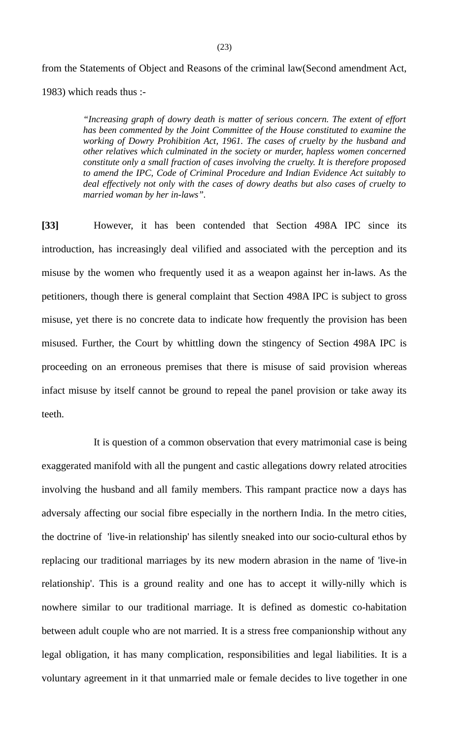from the Statements of Object and Reasons of the criminal law(Second amendment Act, 1983) which reads thus :-

> *"Increasing graph of dowry death is matter of serious concern. The extent of effort has been commented by the Joint Committee of the House constituted to examine the working of Dowry Prohibition Act, 1961. The cases of cruelty by the husband and other relatives which culminated in the society or murder, hapless women concerned constitute only a small fraction of cases involving the cruelty. It is therefore proposed to amend the IPC, Code of Criminal Procedure and Indian Evidence Act suitably to deal effectively not only with the cases of dowry deaths but also cases of cruelty to married woman by her in-laws".*

**[33]** However, it has been contended that Section 498A IPC since its introduction, has increasingly deal vilified and associated with the perception and its misuse by the women who frequently used it as a weapon against her in-laws. As the petitioners, though there is general complaint that Section 498A IPC is subject to gross misuse, yet there is no concrete data to indicate how frequently the provision has been misused. Further, the Court by whittling down the stingency of Section 498A IPC is proceeding on an erroneous premises that there is misuse of said provision whereas infact misuse by itself cannot be ground to repeal the panel provision or take away its teeth.

It is question of a common observation that every matrimonial case is being exaggerated manifold with all the pungent and castic allegations dowry related atrocities involving the husband and all family members. This rampant practice now a days has adversaly affecting our social fibre especially in the northern India. In the metro cities, the doctrine of 'live-in relationship' has silently sneaked into our socio-cultural ethos by replacing our traditional marriages by its new modern abrasion in the name of 'live-in relationship'. This is a ground reality and one has to accept it willy-nilly which is nowhere similar to our traditional marriage. It is defined as domestic co-habitation between adult couple who are not married. It is a stress free companionship without any legal obligation, it has many complication, responsibilities and legal liabilities. It is a voluntary agreement in it that unmarried male or female decides to live together in one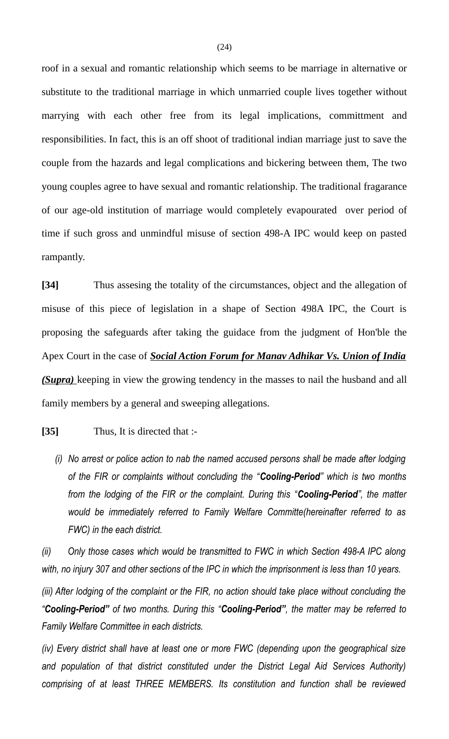roof in a sexual and romantic relationship which seems to be marriage in alternative or substitute to the traditional marriage in which unmarried couple lives together without marrying with each other free from its legal implications, committment and responsibilities. In fact, this is an off shoot of traditional indian marriage just to save the couple from the hazards and legal complications and bickering between them, The two young couples agree to have sexual and romantic relationship. The traditional fragarance of our age-old institution of marriage would completely evapourated over period of time if such gross and unmindful misuse of section 498-A IPC would keep on pasted rampantly.

**[34]** Thus assesing the totality of the circumstances, object and the allegation of misuse of this piece of legislation in a shape of Section 498A IPC, the Court is proposing the safeguards after taking the guidace from the judgment of Hon'ble the Apex Court in the case of *Social Action Forum for Manav Adhikar Vs. Union of India (Supra)* keeping in view the growing tendency in the masses to nail the husband and all family members by a general and sweeping allegations.

## **[35]** Thus, It is directed that :-

*(i) No arrest or police action to nab the named accused persons shall be made after lodging of the FIR or complaints without concluding the "Cooling-Period" which is two months from the lodging of the FIR or the complaint. During this "Cooling-Period", the matter would be immediately referred to Family Welfare Committe(hereinafter referred to as FWC) in the each district.*

*(ii) Only those cases which would be transmitted to FWC in which Section 498-A IPC along with, no injury 307 and other sections of the IPC in which the imprisonment is less than 10 years.*

*(iii) After lodging of the complaint or the FIR, no action should take place without concluding the "Cooling-Period" of two months. During this "Cooling-Period", the matter may be referred to Family Welfare Committee in each districts.*

*(iv) Every district shall have at least one or more FWC (depending upon the geographical size and population of that district constituted under the District Legal Aid Services Authority) comprising of at least THREE MEMBERS. Its constitution and function shall be reviewed*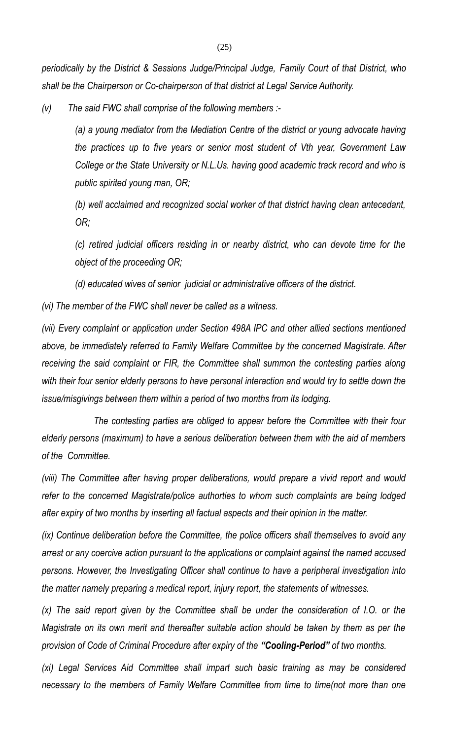*periodically by the District & Sessions Judge/Principal Judge, Family Court of that District, who shall be the Chairperson or Co-chairperson of that district at Legal Service Authority.*

*(v) The said FWC shall comprise of the following members :-*

*(a) a young mediator from the Mediation Centre of the district or young advocate having the practices up to five years or senior most student of Vth year, Government Law College or the State University or N.L.Us. having good academic track record and who is public spirited young man, OR;*

*(b) well acclaimed and recognized social worker of that district having clean antecedant, OR;*

*(c) retired judicial officers residing in or nearby district, who can devote time for the object of the proceeding OR;*

*(d) educated wives of senior judicial or administrative officers of the district.*

*(vi) The member of the FWC shall never be called as a witness.*

*(vii) Every complaint or application under Section 498A IPC and other allied sections mentioned above, be immediately referred to Family Welfare Committee by the concerned Magistrate. After receiving the said complaint or FIR, the Committee shall summon the contesting parties along with their four senior elderly persons to have personal interaction and would try to settle down the issue/misgivings between them within a period of two months from its lodging.*

*The contesting parties are obliged to appear before the Committee with their four elderly persons (maximum) to have a serious deliberation between them with the aid of members of the Committee.*

*(viii) The Committee after having proper deliberations, would prepare a vivid report and would refer to the concerned Magistrate/police authorties to whom such complaints are being lodged after expiry of two months by inserting all factual aspects and their opinion in the matter.*

*(ix) Continue deliberation before the Committee, the police officers shall themselves to avoid any arrest or any coercive action pursuant to the applications or complaint against the named accused persons. However, the Investigating Officer shall continue to have a peripheral investigation into the matter namely preparing a medical report, injury report, the statements of witnesses.*

*(x) The said report given by the Committee shall be under the consideration of I.O. or the Magistrate on its own merit and thereafter suitable action should be taken by them as per the provision of Code of Criminal Procedure after expiry of the "Cooling-Period" of two months.*

*(xi) Legal Services Aid Committee shall impart such basic training as may be considered necessary to the members of Family Welfare Committee from time to time(not more than one*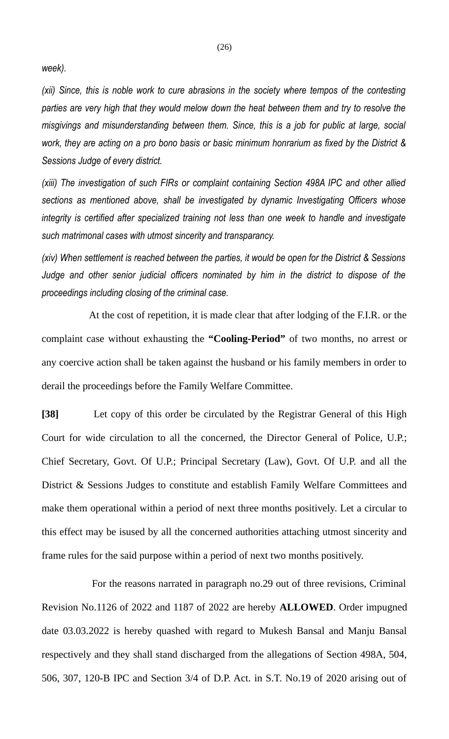*week).*

*(xii) Since, this is noble work to cure abrasions in the society where tempos of the contesting parties are very high that they would melow down the heat between them and try to resolve the misgivings and misunderstanding between them. Since, this is a job for public at large, social work, they are acting on a pro bono basis or basic minimum honrarium as fixed by the District & Sessions Judge of every district.* 

*(xiii) The investigation of such FIRs or complaint containing Section 498A IPC and other allied sections as mentioned above, shall be investigated by dynamic Investigating Officers whose integrity is certified after specialized training not less than one week to handle and investigate such matrimonal cases with utmost sincerity and transparancy.*

*(xiv) When settlement is reached between the parties, it would be open for the District & Sessions Judge and other senior judicial officers nominated by him in the district to dispose of the proceedings including closing of the criminal case.*

 At the cost of repetition, it is made clear that after lodging of the F.I.R. or the complaint case without exhausting the **"Cooling-Period"** of two months, no arrest or any coercive action shall be taken against the husband or his family members in order to derail the proceedings before the Family Welfare Committee.

**[38]** Let copy of this order be circulated by the Registrar General of this High Court for wide circulation to all the concerned, the Director General of Police, U.P.; Chief Secretary, Govt. Of U.P.; Principal Secretary (Law), Govt. Of U.P. and all the District & Sessions Judges to constitute and establish Family Welfare Committees and make them operational within a period of next three months positively. Let a circular to this effect may be isused by all the concerned authorities attaching utmost sincerity and frame rules for the said purpose within a period of next two months positively.

 For the reasons narrated in paragraph no.29 out of three revisions, Criminal Revision No.1126 of 2022 and 1187 of 2022 are hereby **ALLOWED**. Order impugned date 03.03.2022 is hereby quashed with regard to Mukesh Bansal and Manju Bansal respectively and they shall stand discharged from the allegations of Section 498A, 504, 506, 307, 120-B IPC and Section 3/4 of D.P. Act. in S.T. No.19 of 2020 arising out of